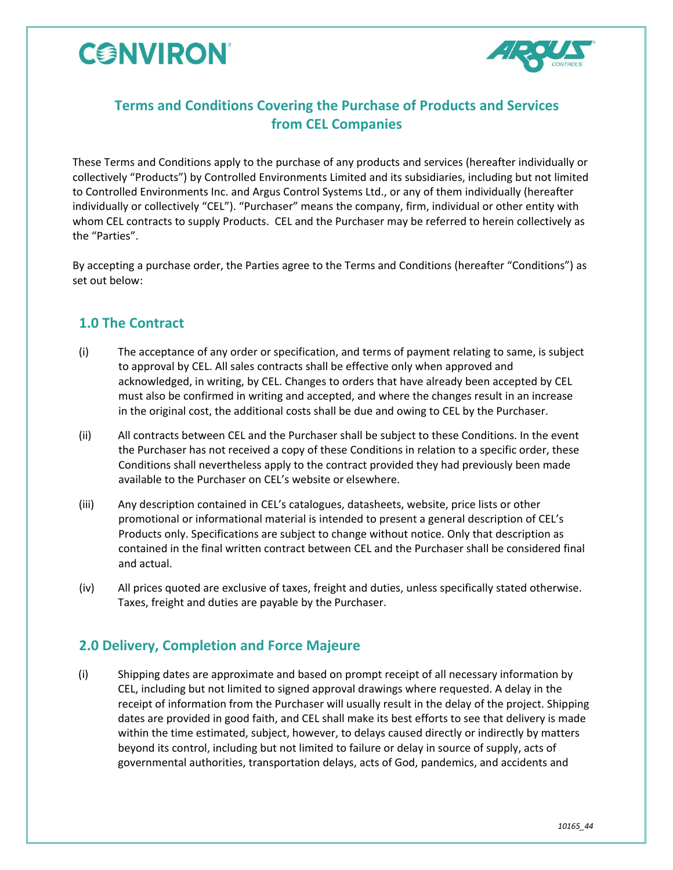



## **Terms and Conditions Covering the Purchase of Products and Services from CEL Companies**

These Terms and Conditions apply to the purchase of any products and services (hereafter individually or collectively "Products") by Controlled Environments Limited and its subsidiaries, including but not limited to Controlled Environments Inc. and Argus Control Systems Ltd., or any of them individually (hereafter individually or collectively "CEL"). "Purchaser" means the company, firm, individual or other entity with whom CEL contracts to supply Products. CEL and the Purchaser may be referred to herein collectively as the "Parties".

By accepting a purchase order, the Parties agree to the Terms and Conditions (hereafter "Conditions") as set out below:

### **1.0 The Contract**

- (i) The acceptance of any order or specification, and terms of payment relating to same, is subject to approval by CEL. All sales contracts shall be effective only when approved and acknowledged, in writing, by CEL. Changes to orders that have already been accepted by CEL must also be confirmed in writing and accepted, and where the changes result in an increase in the original cost, the additional costs shall be due and owing to CEL by the Purchaser.
- (ii) All contracts between CEL and the Purchaser shall be subject to these Conditions. In the event the Purchaser has not received a copy of these Conditions in relation to a specific order, these Conditions shall nevertheless apply to the contract provided they had previously been made available to the Purchaser on CEL's website or elsewhere.
- (iii) Any description contained in CEL's catalogues, datasheets, website, price lists or other promotional or informational material is intended to present a general description of CEL's Products only. Specifications are subject to change without notice. Only that description as contained in the final written contract between CEL and the Purchaser shall be considered final and actual.
- (iv) All prices quoted are exclusive of taxes, freight and duties, unless specifically stated otherwise. Taxes, freight and duties are payable by the Purchaser.

### **2.0 Delivery, Completion and Force Majeure**

(i) Shipping dates are approximate and based on prompt receipt of all necessary information by CEL, including but not limited to signed approval drawings where requested. A delay in the receipt of information from the Purchaser will usually result in the delay of the project. Shipping dates are provided in good faith, and CEL shall make its best efforts to see that delivery is made within the time estimated, subject, however, to delays caused directly or indirectly by matters beyond its control, including but not limited to failure or delay in source of supply, acts of governmental authorities, transportation delays, acts of God, pandemics, and accidents and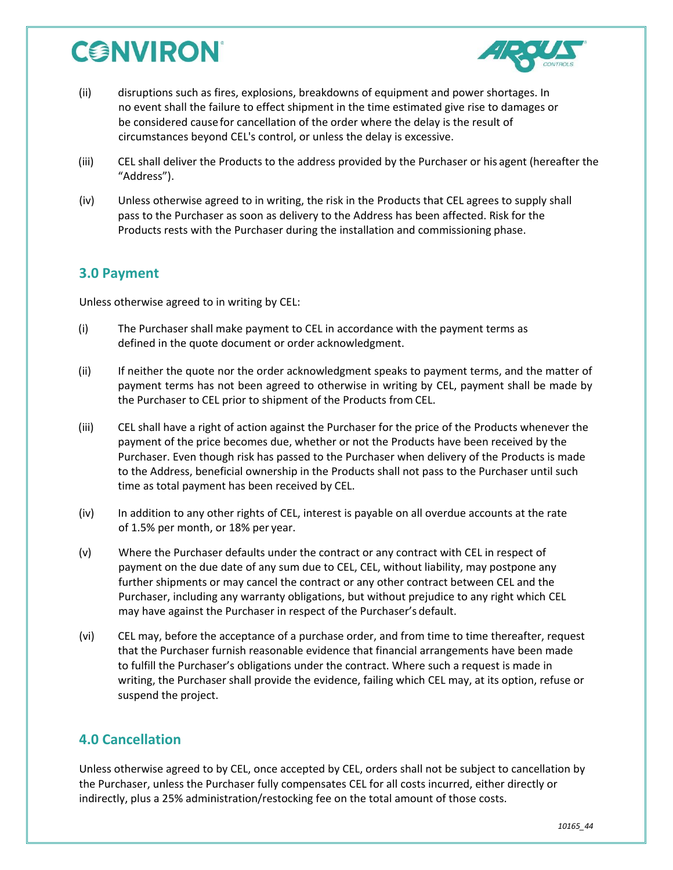# **CONVIRON**



- (ii) disruptions such as fires, explosions, breakdowns of equipment and power shortages. In no event shall the failure to effect shipment in the time estimated give rise to damages or be considered causefor cancellation of the order where the delay is the result of circumstances beyond CEL's control, or unless the delay is excessive.
- (iii) CEL shall deliver the Products to the address provided by the Purchaser or his agent (hereafter the "Address").
- (iv) Unless otherwise agreed to in writing, the risk in the Products that CEL agrees to supply shall pass to the Purchaser as soon as delivery to the Address has been affected. Risk for the Products rests with the Purchaser during the installation and commissioning phase.

#### **3.0 Payment**

Unless otherwise agreed to in writing by CEL:

- (i) The Purchaser shall make payment to CEL in accordance with the payment terms as defined in the quote document or order acknowledgment.
- (ii) If neither the quote nor the order acknowledgment speaks to payment terms, and the matter of payment terms has not been agreed to otherwise in writing by CEL, payment shall be made by the Purchaser to CEL prior to shipment of the Products from CEL.
- (iii) CEL shall have a right of action against the Purchaser for the price of the Products whenever the payment of the price becomes due, whether or not the Products have been received by the Purchaser. Even though risk has passed to the Purchaser when delivery of the Products is made to the Address, beneficial ownership in the Products shall not pass to the Purchaser until such time as total payment has been received by CEL.
- (iv) In addition to any other rights of CEL, interest is payable on all overdue accounts at the rate of 1.5% per month, or 18% per year.
- (v) Where the Purchaser defaults under the contract or any contract with CEL in respect of payment on the due date of any sum due to CEL, CEL, without liability, may postpone any further shipments or may cancel the contract or any other contract between CEL and the Purchaser, including any warranty obligations, but without prejudice to any right which CEL may have against the Purchaser in respect of the Purchaser's default.
- (vi) CEL may, before the acceptance of a purchase order, and from time to time thereafter, request that the Purchaser furnish reasonable evidence that financial arrangements have been made to fulfill the Purchaser's obligations under the contract. Where such a request is made in writing, the Purchaser shall provide the evidence, failing which CEL may, at its option, refuse or suspend the project.

### **4.0 Cancellation**

Unless otherwise agreed to by CEL, once accepted by CEL, orders shall not be subject to cancellation by the Purchaser, unless the Purchaser fully compensates CEL for all costs incurred, either directly or indirectly, plus a 25% administration/restocking fee on the total amount of those costs.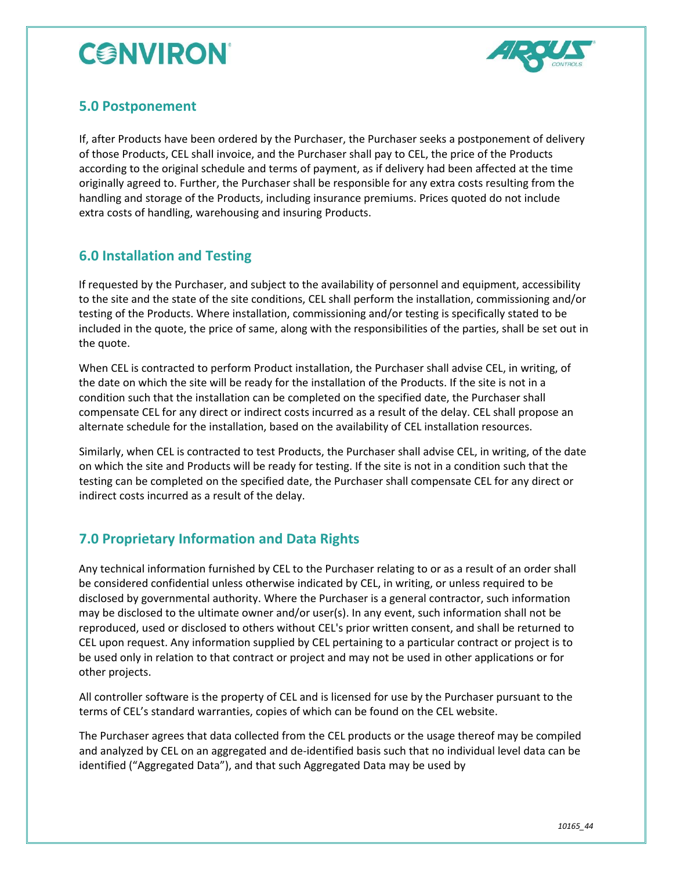# **CONVIRON**



### **5.0 Postponement**

If, after Products have been ordered by the Purchaser, the Purchaser seeks a postponement of delivery of those Products, CEL shall invoice, and the Purchaser shall pay to CEL, the price of the Products according to the original schedule and terms of payment, as if delivery had been affected at the time originally agreed to. Further, the Purchaser shall be responsible for any extra costs resulting from the handling and storage of the Products, including insurance premiums. Prices quoted do not include extra costs of handling, warehousing and insuring Products.

### **6.0 Installation and Testing**

If requested by the Purchaser, and subject to the availability of personnel and equipment, accessibility to the site and the state of the site conditions, CEL shall perform the installation, commissioning and/or testing of the Products. Where installation, commissioning and/or testing is specifically stated to be included in the quote, the price of same, along with the responsibilities of the parties, shall be set out in the quote.

When CEL is contracted to perform Product installation, the Purchaser shall advise CEL, in writing, of the date on which the site will be ready for the installation of the Products. If the site is not in a condition such that the installation can be completed on the specified date, the Purchaser shall compensate CEL for any direct or indirect costs incurred as a result of the delay. CEL shall propose an alternate schedule for the installation, based on the availability of CEL installation resources.

Similarly, when CEL is contracted to test Products, the Purchaser shall advise CEL, in writing, of the date on which the site and Products will be ready for testing. If the site is not in a condition such that the testing can be completed on the specified date, the Purchaser shall compensate CEL for any direct or indirect costs incurred as a result of the delay.

### **7.0 Proprietary Information and Data Rights**

Any technical information furnished by CEL to the Purchaser relating to or as a result of an order shall be considered confidential unless otherwise indicated by CEL, in writing, or unless required to be disclosed by governmental authority. Where the Purchaser is a general contractor, such information may be disclosed to the ultimate owner and/or user(s). In any event, such information shall not be reproduced, used or disclosed to others without CEL's prior written consent, and shall be returned to CEL upon request. Any information supplied by CEL pertaining to a particular contract or project is to be used only in relation to that contract or project and may not be used in other applications or for other projects.

All controller software is the property of CEL and is licensed for use by the Purchaser pursuant to the terms of CEL's standard warranties, copies of which can be found on the CEL website.

The Purchaser agrees that data collected from the CEL products or the usage thereof may be compiled and analyzed by CEL on an aggregated and de-identified basis such that no individual level data can be identified ("Aggregated Data"), and that such Aggregated Data may be used by